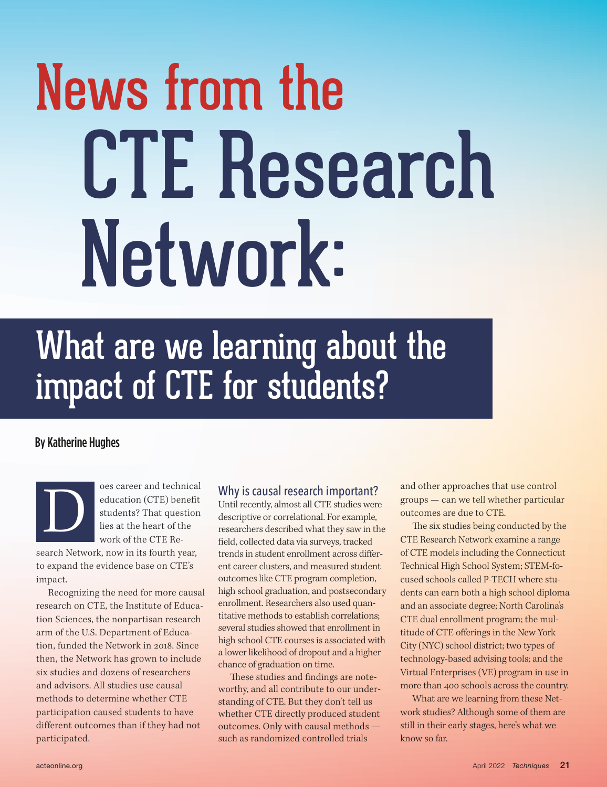# News from the CTE Research Network:

# What are we learning about the impact of CTE for students?

#### By Katherine Hughes

oes career and technical education (CTE) benefit students? That question lies at the heart of the work of the CTE Research Network, now in its fourth year, to expand the evidence base on CTE's impact. D

Recognizing the need for more causal research on CTE, the Institute of Education Sciences, the nonpartisan research arm of the U.S. Department of Education, funded the Network in 2018. Since then, the Network has grown to include six studies and dozens of researchers and advisors. All studies use causal methods to determine whether CTE participation caused students to have different outcomes than if they had not participated.

### Why is causal research important?

Until recently, almost all CTE studies were descriptive or correlational. For example, researchers described what they saw in the feld, collected data via surveys, tracked trends in student enrollment across diferent career clusters, and measured student outcomes like CTE program completion, high school graduation, and postsecondary enrollment. Researchers also used quantitative methods to establish correlations; several studies showed that enrollment in high school CTE courses is associated with a lower likelihood of dropout and a higher chance of graduation on time.

These studies and findings are noteworthy, and all contribute to our understanding of CTE. But they don't tell us whether CTE directly produced student outcomes. Only with causal methods such as randomized controlled trials

and other approaches that use control groups — can we tell whether particular outcomes are due to CTE.

The six studies being conducted by the CTE Research Network examine a range of CTE models including the Connecticut Technical High School System; STEM-focused schools called P-TECH where students can earn both a high school diploma and an associate degree; North Carolina's CTE dual enrollment program; the multitude of CTE oferings in the New York City (NYC) school district; two types of technology-based advising tools; and the Virtual Enterprises (VE) program in use in more than 400 schools across the country.

What are we learning from these Network studies? Although some of them are still in their early stages, here's what we know so far.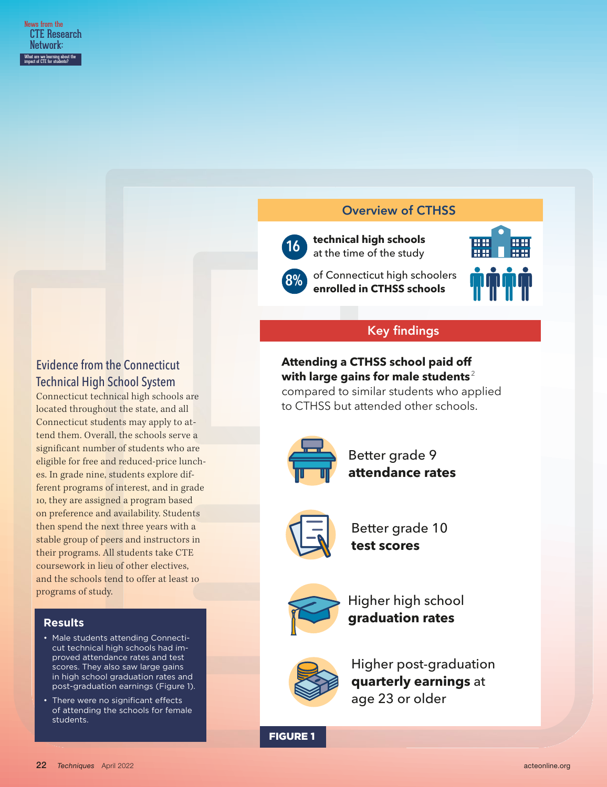#### Overview of CTHSS



**16 technical high schools** at the time of the study



# Evidence from the Connecticut Technical High School System

Connecticut technical high schools are located throughout the state, and all Connecticut students may apply to attend them. Overall, the schools serve a significant number of students who are eligible for free and reduced-price lunches. In grade nine, students explore different programs of interest, and in grade 10, they are assigned a program based on preference and availability. Students then spend the next three years with a stable group of peers and instructors in their programs. All students take CTE coursework in lieu of other electives, and the schools tend to offer at least 10 programs of study.

#### **Results**

- Male students attending Connecticut technical high schools had improved attendance rates and test scores. They also saw large gains in high school graduation rates and post-graduation earnings (Figure 1).
- There were no significant effects of attending the schools for female students.

# Key findings

# **Attending a CTHSS school paid off with large gains for male students** <sup>2</sup>

**8%** of Connecticut high schoolers **enrolled in CTHSS schools**

compared to similar students who applied to CTHSS but attended other schools.



Better grade 9 **attendance rates** 



Better grade 10 **test scores**



Higher high school **graduation rates**



Higher post-graduation **quarterly earnings** at age 23 or older

FIGURE 1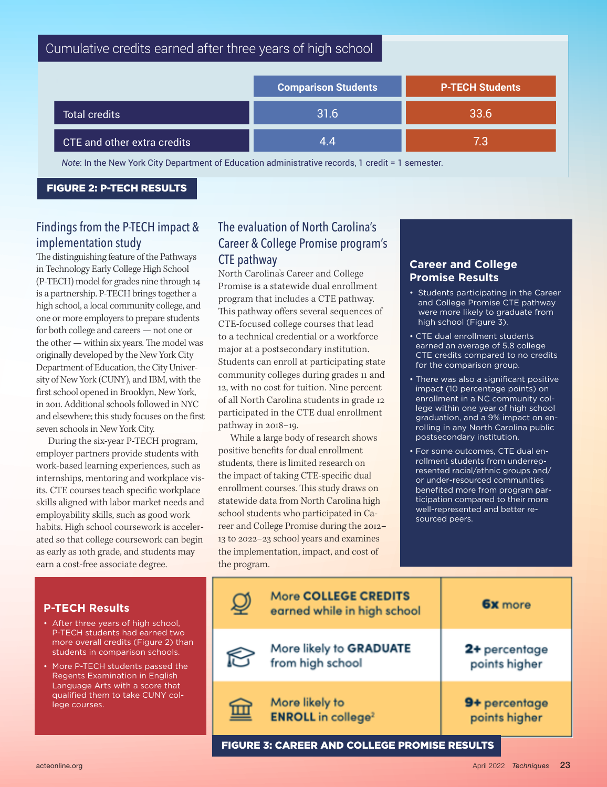| Cumulative credits earned after three years of high school                                      |                            |                        |  |  |
|-------------------------------------------------------------------------------------------------|----------------------------|------------------------|--|--|
|                                                                                                 | <b>Comparison Students</b> | <b>P-TECH Students</b> |  |  |
| <b>Total credits</b>                                                                            | 31.6                       | 33.6                   |  |  |
| CTE and other extra credits                                                                     | 4.4                        | 7.3                    |  |  |
| Note: In the New York City Department of Education administrative reserve 1 eredit - 1 comester |                            |                        |  |  |

*Note*: In the New York City Department of Education administrative records, 1 credit = 1 semester.

FIGURE 2: P-TECH RESULTS

Learn more: https://cteresearchnetwork.org/ptech1220

# Findings from the P-TECH impact & implementation study

The distinguishing feature of the Pathways in Technology Early College High School (P-TECH) model for grades nine through 14 is a partnership. P-TECH brings together a high school, a local community college, and one or more employers to prepare students for both college and careers — not one or the other — within six years. The model was originally developed by the New York City Department of Education, the City University of New York (CUNY), and IBM, with the first school opened in Brooklyn, New York, in 2011. Additional schools followed in NYC and elsewhere; this study focuses on the first seven schools in New York City.

During the six-year P-TECH program, employer partners provide students with work-based learning experiences, such as internships, mentoring and workplace visits. CTE courses teach specific workplace skills aligned with labor market needs and employability skills, such as good work habits. High school coursework is accelerated so that college coursework can begin as early as 10th grade, and students may earn a cost-free associate degree.

#### The Education of North Carolina's The CTE Research Network Lead is supported by the Institute of Education Sciences at the U.S. Department of Education Sciences at the U.S. Department of Education with funds provided by th Career & College Promise program's CTE pathway under the Carl D. Perkins Career and Technical Education Act through Grant R305N18005 to the American Institut

North Carolina's Career and College Promise is a statewide dual enrollment program that includes a CTE pathway. This pathway offers several sequences of CTE-focused college courses that lead to a technical credential or a workforce major at a postsecondary institution. Students can enroll at participating state community colleges during grades 11 and 12, with no cost for tuition. Nine percent of all North Carolina students in grade 12 participated in the CTE dual enrollment pathway in 2018–19.

While a large body of research shows positive benefits for dual enrollment students, there is limited research on the impact of taking CTE-specific dual enrollment courses. This study draws on statewide data from North Carolina high school students who participated in Career and College Promise during the 2012– 13 to 2022–23 school years and examines the implementation, impact, and cost of the program.

#### **Career and College Promise Results**

- Students participating in the Career and College Promise CTE pathway were more likely to graduate from high school (Figure 3).
- CTE dual enrollment students earned an average of 5.8 college CTE credits compared to no credits for the comparison group.
- There was also a significant positive impact (10 percentage points) on enrollment in a NC community college within one year of high school graduation, and a 9% impact on enrolling in any North Carolina public postsecondary institution.
- For some outcomes, CTE dual enrollment students from underrepresented racial/ethnic groups and/ or under-resourced communities benefited more from program participation compared to their more well-represented and better resourced peers.

|                                                     | <b>More COLLEGE CREDITS</b><br>earned while in high school | <b>6x</b> more                 |
|-----------------------------------------------------|------------------------------------------------------------|--------------------------------|
| $\bigotimes$                                        | More likely to GRADUATE<br>from high school                | 2+ percentage<br>points higher |
| $\blacksquare$                                      | More likely to<br><b>ENROLL</b> in college <sup>2</sup>    | 9+ percentage<br>points higher |
| <b>FIGURE 3: CAREER AND COLLEGE PROMISE RESULTS</b> |                                                            |                                |

#### **P-TECH Results**

- After three years of high school, P-TECH students had earned two more overall credits (Figure 2) than students in comparison schools.
- More P-TECH students passed the Regents Examination in English Language Arts with a score that qualified them to take CUNY college courses.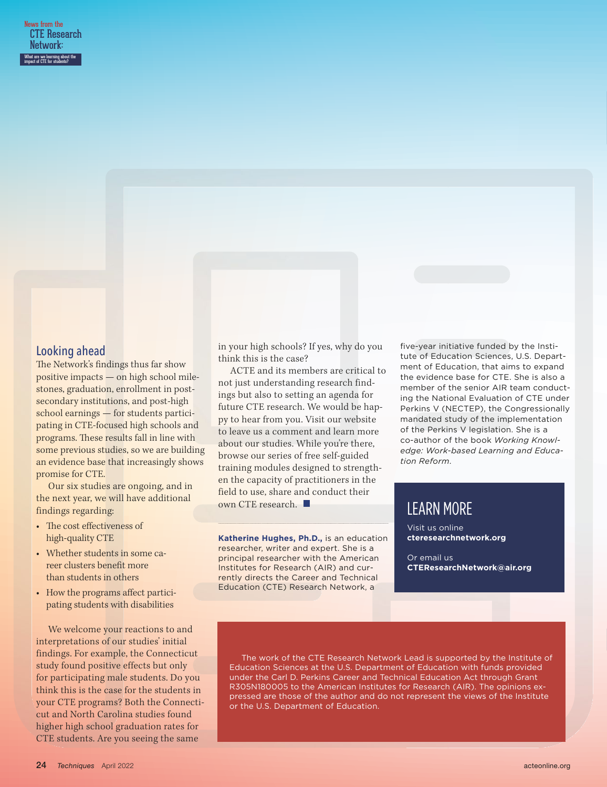#### Looking ahead

The Network's findings thus far show positive impacts — on high school milestones, graduation, enrollment in postsecondary institutions, and post-high school earnings — for students participating in CTE-focused high schools and programs. These results fall in line with some previous studies, so we are building an evidence base that increasingly shows promise for CTE.

Our six studies are ongoing, and in the next year, we will have additional findings regarding:

- The cost effectiveness of high-quality CTE
- Whether students in some career clusters benefit more than students in others
- How the programs affect participating students with disabilities

We welcome your reactions to and interpretations of our studies' initial findings. For example, the Connecticut study found positive effects but only for participating male students. Do you think this is the case for the students in your CTE programs? Both the Connecticut and North Carolina studies found higher high school graduation rates for CTE students. Are you seeing the same

in your high schools? If yes, why do you think this is the case?

ACTE and its members are critical to not just understanding research findings but also to setting an agenda for future CTE research. We would be happy to hear from you. Visit our website to leave us a comment and learn more about our studies. While you're there, browse our series of free self-guided training modules designed to strengthen the capacity of practitioners in the field to use, share and conduct their own CTE research.

**Katherine Hughes, Ph.D.,** is an education researcher, writer and expert. She is a principal researcher with the American Institutes for Research (AIR) and currently directs the Career and Technical Education (CTE) Research Network, a

five-year initiative funded by the Institute of Education Sciences, U.S. Department of Education, that aims to expand the evidence base for CTE. She is also a member of the senior AIR team conducting the National Evaluation of CTE under Perkins V (NECTEP), the Congressionally mandated study of the implementation of the Perkins V legislation. She is a co-author of the book *Working Knowledge: Work-based Learning and Education Reform*.

# LEARN MORE

Visit us online **cteresearchnetwork.org**

Or email us **CTEResearchNetwork@air.org**

The work of the CTE Research Network Lead is supported by the Institute of Education Sciences at the U.S. Department of Education with funds provided under the Carl D. Perkins Career and Technical Education Act through Grant R305N180005 to the American Institutes for Research (AIR). The opinions expressed are those of the author and do not represent the views of the Institute or the U.S. Department of Education.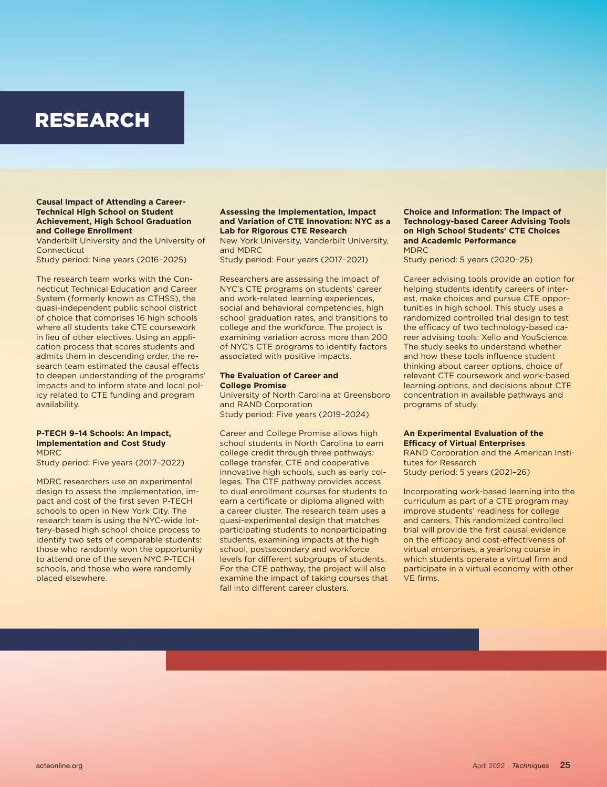# RESEARCH

#### **Causal Impact of Attending a Career-Technical High School on Student Achievement, High School Graduation and College Enrollment**

Vanderbilt University and the University of **Connecticut** 

Study period: Nine years (2016–2025)

The research team works with the Connecticut Technical Education and Career System (formerly known as CTHSS), the quasi-independent public school district of choice that comprises 16 high schools where all students take CTE coursework in lieu of other electives. Using an application process that scores students and admits them in descending order, the research team estimated the causal effects to deepen understanding of the programs' impacts and to inform state and local policy related to CTE funding and program availability.

#### **P-TECH 9–14 Schools: An Impact, Implementation and Cost Study** MDRC

Study period: Five years (2017–2022)

MDRC researchers use an experimental design to assess the implementation, impact and cost of the first seven P-TECH schools to open in New York City. The research team is using the NYC-wide lottery-based high school choice process to identify two sets of comparable students: those who randomly won the opportunity to attend one of the seven NYC P-TECH schools, and those who were randomly placed elsewhere.

#### **Assessing the Implementation, Impact and Variation of CTE Innovation: NYC as a Lab for Rigorous CTE Research**

New York University, Vanderbilt University, and MDRC

Study period: Four years (2017–2021)

Researchers are assessing the impact of NYC's CTE programs on students' career and work-related learning experiences, social and behavioral competencies, high school graduation rates, and transitions to college and the workforce. The project is examining variation across more than 200 of NYC's CTE programs to identify factors associated with positive impacts.

#### **The Evaluation of Career and College Promise**

University of North Carolina at Greensboro and RAND Corporation Study period: Five years (2019–2024)

Career and College Promise allows high school students in North Carolina to earn college credit through three pathways: college transfer, CTE and cooperative innovative high schools, such as early colleges. The CTE pathway provides access to dual enrollment courses for students to earn a certificate or diploma aligned with a career cluster. The research team uses a quasi-experimental design that matches participating students to nonparticipating students, examining impacts at the high school, postsecondary and workforce levels for diferent subgroups of students. For the CTE pathway, the project will also examine the impact of taking courses that fall into different career clusters.

#### **Choice and Information: The Impact of Technology-based Career Advising Tools on High School Students' CTE Choices and Academic Performance** MDRC

Study period: 5 years (2020–25)

Career advising tools provide an option for helping students identify careers of interest, make choices and pursue CTE opportunities in high school. This study uses a randomized controlled trial design to test the efficacy of two technology-based career advising tools: Xello and YouScience. The study seeks to understand whether and how these tools infuence student thinking about career options, choice of relevant CTE coursework and work-based learning options, and decisions about CTE concentration in available pathways and programs of study.

#### **An Experimental Evaluation of the Efficacy of Virtual Enterprises**

RAND Corporation and the American Institutes for Research

Study period: 5 years (2021–26)

Incorporating work-based learning into the curriculum as part of a CTE program may improve students' readiness for college and careers. This randomized controlled trial will provide the first causal evidence on the efficacy and cost-effectiveness of virtual enterprises, a yearlong course in which students operate a virtual firm and participate in a virtual economy with other VE frms.